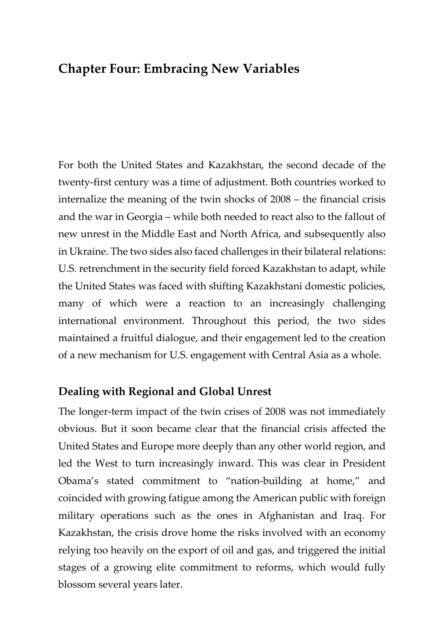# **Chapter Four: Embracing New Variables**

For both the United States and Kazakhstan, the second decade of the twenty-first century was a time of adjustment. Both countries worked to internalize the meaning of the twin shocks of 2008 – the financial crisis and the war in Georgia – while both needed to react also to the fallout of new unrest in the Middle East and North Africa, and subsequently also in Ukraine. The two sides also faced challenges in their bilateral relations: U.S. retrenchment in the security field forced Kazakhstan to adapt, while the United States was faced with shifting Kazakhstani domestic policies, many of which were a reaction to an increasingly challenging international environment. Throughout this period, the two sides maintained a fruitful dialogue, and their engagement led to the creation of a new mechanism for U.S. engagement with Central Asia as a whole.

### **Dealing with Regional and Global Unrest**

The longer-term impact of the twin crises of 2008 was not immediately obvious. But it soon became clear that the financial crisis affected the United States and Europe more deeply than any other world region, and led the West to turn increasingly inward. This was clear in President Obama's stated commitment to "nation-building at home," and coincided with growing fatigue among the American public with foreign military operations such as the ones in Afghanistan and Iraq. For Kazakhstan, the crisis drove home the risks involved with an economy relying too heavily on the export of oil and gas, and triggered the initial stages of a growing elite commitment to reforms, which would fully blossom several years later.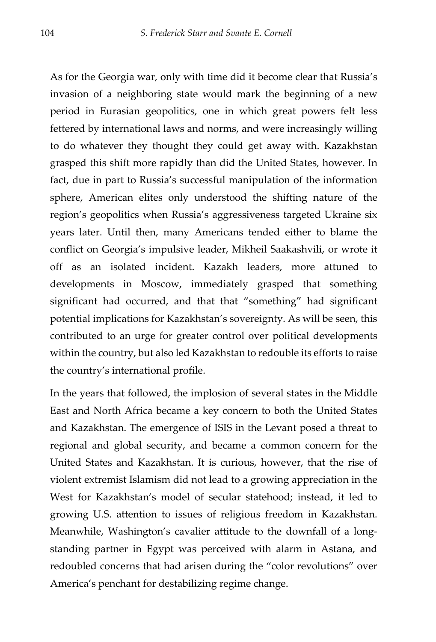As for the Georgia war, only with time did it become clear that Russia's invasion of a neighboring state would mark the beginning of a new period in Eurasian geopolitics, one in which great powers felt less fettered by international laws and norms, and were increasingly willing to do whatever they thought they could get away with. Kazakhstan grasped this shift more rapidly than did the United States, however. In fact, due in part to Russia's successful manipulation of the information sphere, American elites only understood the shifting nature of the region's geopolitics when Russia's aggressiveness targeted Ukraine six years later. Until then, many Americans tended either to blame the conflict on Georgia's impulsive leader, Mikheil Saakashvili, or wrote it off as an isolated incident. Kazakh leaders, more attuned to developments in Moscow, immediately grasped that something significant had occurred, and that that "something" had significant potential implications for Kazakhstan's sovereignty. As will be seen, this contributed to an urge for greater control over political developments within the country, but also led Kazakhstan to redouble its efforts to raise the country's international profile.

In the years that followed, the implosion of several states in the Middle East and North Africa became a key concern to both the United States and Kazakhstan. The emergence of ISIS in the Levant posed a threat to regional and global security, and became a common concern for the United States and Kazakhstan. It is curious, however, that the rise of violent extremist Islamism did not lead to a growing appreciation in the West for Kazakhstan's model of secular statehood; instead, it led to growing U.S. attention to issues of religious freedom in Kazakhstan. Meanwhile, Washington's cavalier attitude to the downfall of a longstanding partner in Egypt was perceived with alarm in Astana, and redoubled concerns that had arisen during the "color revolutions" over America's penchant for destabilizing regime change.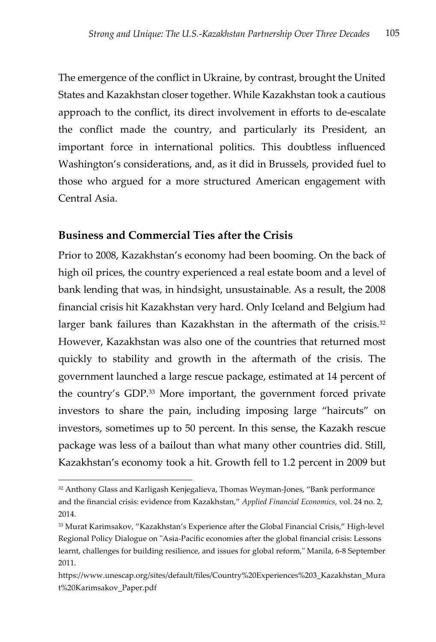The emergence of the conflict in Ukraine, by contrast, brought the United States and Kazakhstan closer together. While Kazakhstan took a cautious approach to the conflict, its direct involvement in efforts to de-escalate the conflict made the country, and particularly its President, an important force in international politics. This doubtless influenced Washington's considerations, and, as it did in Brussels, provided fuel to those who argued for a more structured American engagement with Central Asia.

### **Business and Commercial Ties after the Crisis**

Prior to 2008, Kazakhstan's economy had been booming. On the back of high oil prices, the country experienced a real estate boom and a level of bank lending that was, in hindsight, unsustainable. As a result, the 2008 financial crisis hit Kazakhstan very hard. Only Iceland and Belgium had larger bank failures than Kazakhstan in the aftermath of the crisis.<sup>32</sup> However, Kazakhstan was also one of the countries that returned most quickly to stability and growth in the aftermath of the crisis. The government launched a large rescue package, estimated at 14 percent of the country's GDP.33 More important, the government forced private investors to share the pain, including imposing large "haircuts" on investors, sometimes up to 50 percent. In this sense, the Kazakh rescue package was less of a bailout than what many other countries did. Still, Kazakhstan's economy took a hit. Growth fell to 1.2 percent in 2009 but

<sup>32</sup> Anthony Glass and Karligash Kenjegalieva, Thomas Weyman-Jones, "Bank performance and the financial crisis: evidence from Kazakhstan," *Applied Financial Economics*, vol. 24 no. 2, 2014.

<sup>&</sup>lt;sup>33</sup> Murat Karimsakov, "Kazakhstan's Experience after the Global Financial Crisis," High-level Regional Policy Dialogue on "Asia-Pacific economies after the global financial crisis: Lessons learnt, challenges for building resilience, and issues for global reform," Manila, 6-8 September 2011.

https://www.unescap.org/sites/default/files/Country%20Experiences%203\_Kazakhstan\_Mura t%20Karimsakov\_Paper.pdf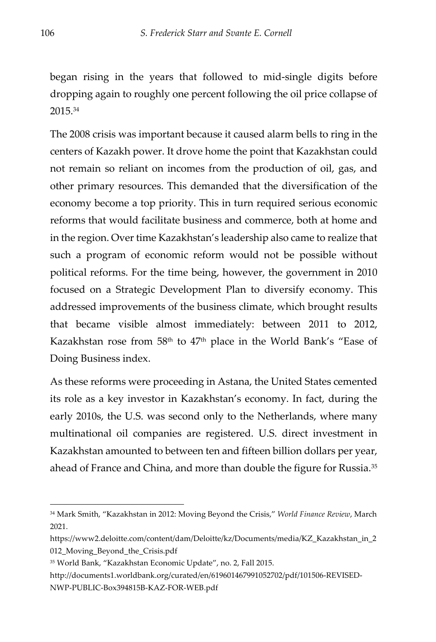began rising in the years that followed to mid-single digits before dropping again to roughly one percent following the oil price collapse of 2015.34

The 2008 crisis was important because it caused alarm bells to ring in the centers of Kazakh power. It drove home the point that Kazakhstan could not remain so reliant on incomes from the production of oil, gas, and other primary resources. This demanded that the diversification of the economy become a top priority. This in turn required serious economic reforms that would facilitate business and commerce, both at home and in the region. Over time Kazakhstan's leadership also came to realize that such a program of economic reform would not be possible without political reforms. For the time being, however, the government in 2010 focused on a Strategic Development Plan to diversify economy. This addressed improvements of the business climate, which brought results that became visible almost immediately: between 2011 to 2012, Kazakhstan rose from 58<sup>th</sup> to 47<sup>th</sup> place in the World Bank's "Ease of Doing Business index.

As these reforms were proceeding in Astana, the United States cemented its role as a key investor in Kazakhstan's economy. In fact, during the early 2010s, the U.S. was second only to the Netherlands, where many multinational oil companies are registered. U.S. direct investment in Kazakhstan amounted to between ten and fifteen billion dollars per year, ahead of France and China, and more than double the figure for Russia.<sup>35</sup>

<sup>34</sup> Mark Smith, "Kazakhstan in 2012: Moving Beyond the Crisis," *World Finance Review*, March 2021.

https://www2.deloitte.com/content/dam/Deloitte/kz/Documents/media/KZ\_Kazakhstan\_in\_2 012\_Moving\_Beyond\_the\_Crisis.pdf

<sup>35</sup> World Bank, "Kazakhstan Economic Update", no. 2, Fall 2015.

http://documents1.worldbank.org/curated/en/619601467991052702/pdf/101506-REVISED-NWP-PUBLIC-Box394815B-KAZ-FOR-WEB.pdf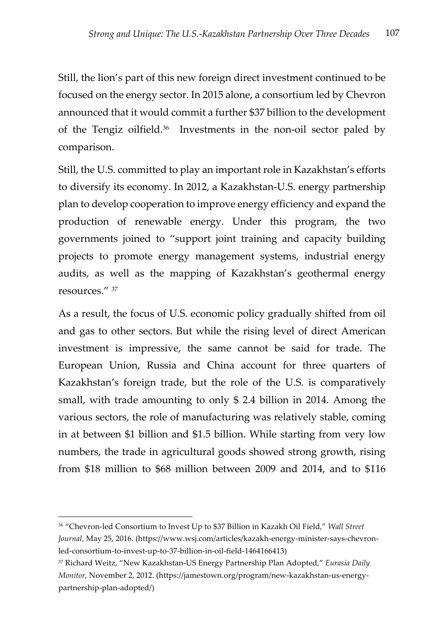Still, the lion's part of this new foreign direct investment continued to be focused on the energy sector. In 2015 alone, a consortium led by Chevron announced that it would commit a further \$37 billion to the development of the Tengiz oilfield.36 Investments in the non-oil sector paled by comparison.

Still, the U.S. committed to play an important role in Kazakhstan's efforts to diversify its economy. In 2012, a Kazakhstan-U.S. energy partnership plan to develop cooperation to improve energy efficiency and expand the production of renewable energy. Under this program, the two governments joined to "support joint training and capacity building projects to promote energy management systems, industrial energy audits, as well as the mapping of Kazakhstan's geothermal energy resources." 37

As a result, the focus of U.S. economic policy gradually shifted from oil and gas to other sectors. But while the rising level of direct American investment is impressive, the same cannot be said for trade. The European Union, Russia and China account for three quarters of Kazakhstan's foreign trade, but the role of the U.S. is comparatively small, with trade amounting to only \$ 2.4 billion in 2014. Among the various sectors, the role of manufacturing was relatively stable, coming in at between \$1 billion and \$1.5 billion. While starting from very low numbers, the trade in agricultural goods showed strong growth, rising from \$18 million to \$68 million between 2009 and 2014, and to \$116

<sup>36 &</sup>quot;Chevron-led Consortium to Invest Up to \$37 Billion in Kazakh Oil Field," *Wall Street Journal*, May 25, 2016. (https://www.wsj.com/articles/kazakh-energy-minister-says-chevronled-consortium-to-invest-up-to-37-billion-in-oil-field-1464166413)

<sup>37</sup> Richard Weitz, "New Kazakhstan-US Energy Partnership Plan Adopted," *Eurasia Daily Monitor*, November 2, 2012. (https://jamestown.org/program/new-kazakhstan-us-energypartnership-plan-adopted/)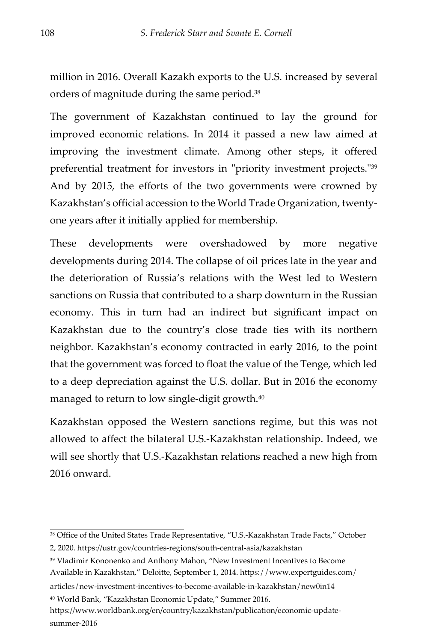million in 2016. Overall Kazakh exports to the U.S. increased by several orders of magnitude during the same period.38

The government of Kazakhstan continued to lay the ground for improved economic relations. In 2014 it passed a new law aimed at improving the investment climate. Among other steps, it offered preferential treatment for investors in "priority investment projects."39 And by 2015, the efforts of the two governments were crowned by Kazakhstan's official accession to the World Trade Organization, twentyone years after it initially applied for membership.

These developments were overshadowed by more negative developments during 2014. The collapse of oil prices late in the year and the deterioration of Russia's relations with the West led to Western sanctions on Russia that contributed to a sharp downturn in the Russian economy. This in turn had an indirect but significant impact on Kazakhstan due to the country's close trade ties with its northern neighbor. Kazakhstan's economy contracted in early 2016, to the point that the government was forced to float the value of the Tenge, which led to a deep depreciation against the U.S. dollar. But in 2016 the economy managed to return to low single-digit growth.40

Kazakhstan opposed the Western sanctions regime, but this was not allowed to affect the bilateral U.S.-Kazakhstan relationship. Indeed, we will see shortly that U.S.-Kazakhstan relations reached a new high from 2016 onward.

<sup>40</sup> World Bank, "Kazakhstan Economic Update," Summer 2016.

<sup>38</sup> Office of the United States Trade Representative, "U.S.-Kazakhstan Trade Facts," October

<sup>2, 2020.</sup> https://ustr.gov/countries-regions/south-central-asia/kazakhstan

<sup>39</sup> Vladimir Kononenko and Anthony Mahon, "New Investment Incentives to Become Available in Kazakhstan," Deloitte, September 1, 2014. https://www.expertguides.com/

articles/new-investment-incentives-to-become-available-in-kazakhstan/new0in14

https://www.worldbank.org/en/country/kazakhstan/publication/economic-updatesummer-2016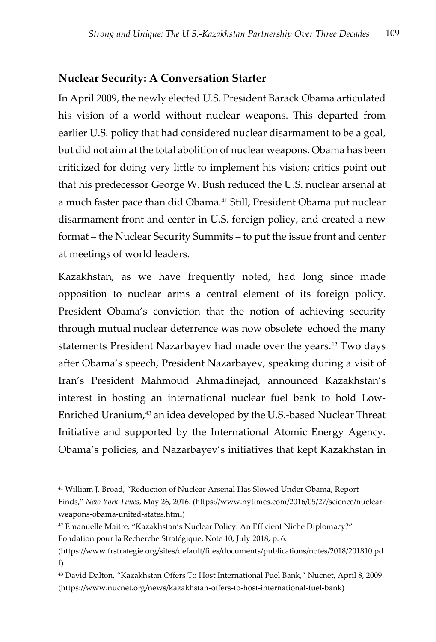## **Nuclear Security: A Conversation Starter**

In April 2009, the newly elected U.S. President Barack Obama articulated his vision of a world without nuclear weapons. This departed from earlier U.S. policy that had considered nuclear disarmament to be a goal, but did not aim at the total abolition of nuclear weapons. Obama has been criticized for doing very little to implement his vision; critics point out that his predecessor George W. Bush reduced the U.S. nuclear arsenal at a much faster pace than did Obama.<sup>41</sup> Still, President Obama put nuclear disarmament front and center in U.S. foreign policy, and created a new format – the Nuclear Security Summits – to put the issue front and center at meetings of world leaders.

Kazakhstan, as we have frequently noted, had long since made opposition to nuclear arms a central element of its foreign policy. President Obama's conviction that the notion of achieving security through mutual nuclear deterrence was now obsolete echoed the many statements President Nazarbayev had made over the years.<sup>42</sup> Two days after Obama's speech, President Nazarbayev, speaking during a visit of Iran's President Mahmoud Ahmadinejad, announced Kazakhstan's interest in hosting an international nuclear fuel bank to hold Low-Enriched Uranium,<sup>43</sup> an idea developed by the U.S.-based Nuclear Threat Initiative and supported by the International Atomic Energy Agency. Obama's policies, and Nazarbayev's initiatives that kept Kazakhstan in

<sup>41</sup> William J. Broad, "Reduction of Nuclear Arsenal Has Slowed Under Obama, Report Finds," *New York Times*, May 26, 2016. (https://www.nytimes.com/2016/05/27/science/nuclearweapons-obama-united-states.html)

<sup>42</sup> Emanuelle Maitre, "Kazakhstan's Nuclear Policy: An Efficient Niche Diplomacy?" Fondation pour la Recherche Stratégique, Note 10, July 2018, p. 6.

<sup>(</sup>https://www.frstrategie.org/sites/default/files/documents/publications/notes/2018/201810.pd f)

<sup>43</sup> David Dalton, "Kazakhstan Offers To Host International Fuel Bank," Nucnet, April 8, 2009. (https://www.nucnet.org/news/kazakhstan-offers-to-host-international-fuel-bank)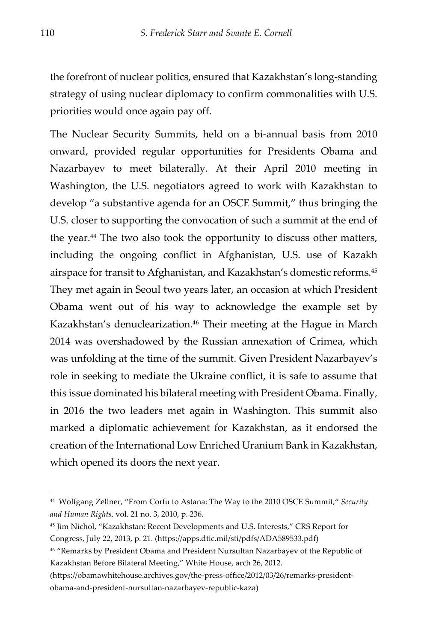the forefront of nuclear politics, ensured that Kazakhstan's long-standing strategy of using nuclear diplomacy to confirm commonalities with U.S. priorities would once again pay off.

The Nuclear Security Summits, held on a bi-annual basis from 2010 onward, provided regular opportunities for Presidents Obama and Nazarbayev to meet bilaterally. At their April 2010 meeting in Washington, the U.S. negotiators agreed to work with Kazakhstan to develop "a substantive agenda for an OSCE Summit," thus bringing the U.S. closer to supporting the convocation of such a summit at the end of the year.44 The two also took the opportunity to discuss other matters, including the ongoing conflict in Afghanistan, U.S. use of Kazakh airspace for transit to Afghanistan, and Kazakhstan's domestic reforms.45 They met again in Seoul two years later, an occasion at which President Obama went out of his way to acknowledge the example set by Kazakhstan's denuclearization.<sup>46</sup> Their meeting at the Hague in March 2014 was overshadowed by the Russian annexation of Crimea, which was unfolding at the time of the summit. Given President Nazarbayev's role in seeking to mediate the Ukraine conflict, it is safe to assume that this issue dominated his bilateral meeting with President Obama. Finally, in 2016 the two leaders met again in Washington. This summit also marked a diplomatic achievement for Kazakhstan, as it endorsed the creation of the International Low Enriched Uranium Bank in Kazakhstan, which opened its doors the next year.

<sup>44</sup> Wolfgang Zellner, "From Corfu to Astana: The Way to the 2010 OSCE Summit," *Security and Human Rights*, vol. 21 no. 3, 2010, p. 236.

<sup>45</sup> Jim Nichol, "Kazakhstan: Recent Developments and U.S. Interests," CRS Report for Congress, July 22, 2013, p. 21. (https://apps.dtic.mil/sti/pdfs/ADA589533.pdf)

<sup>46</sup> "Remarks by President Obama and President Nursultan Nazarbayev of the Republic of Kazakhstan Before Bilateral Meeting," White House, arch 26, 2012.

<sup>(</sup>https://obamawhitehouse.archives.gov/the-press-office/2012/03/26/remarks-presidentobama-and-president-nursultan-nazarbayev-republic-kaza)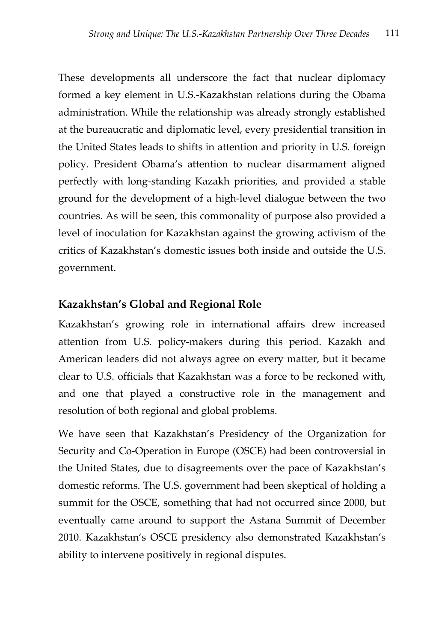These developments all underscore the fact that nuclear diplomacy formed a key element in U.S.-Kazakhstan relations during the Obama administration. While the relationship was already strongly established at the bureaucratic and diplomatic level, every presidential transition in the United States leads to shifts in attention and priority in U.S. foreign policy. President Obama's attention to nuclear disarmament aligned perfectly with long-standing Kazakh priorities, and provided a stable ground for the development of a high-level dialogue between the two countries. As will be seen, this commonality of purpose also provided a level of inoculation for Kazakhstan against the growing activism of the critics of Kazakhstan's domestic issues both inside and outside the U.S. government.

## **Kazakhstan's Global and Regional Role**

Kazakhstan's growing role in international affairs drew increased attention from U.S. policy-makers during this period. Kazakh and American leaders did not always agree on every matter, but it became clear to U.S. officials that Kazakhstan was a force to be reckoned with, and one that played a constructive role in the management and resolution of both regional and global problems.

We have seen that Kazakhstan's Presidency of the Organization for Security and Co-Operation in Europe (OSCE) had been controversial in the United States, due to disagreements over the pace of Kazakhstan's domestic reforms. The U.S. government had been skeptical of holding a summit for the OSCE, something that had not occurred since 2000, but eventually came around to support the Astana Summit of December 2010. Kazakhstan's OSCE presidency also demonstrated Kazakhstan's ability to intervene positively in regional disputes.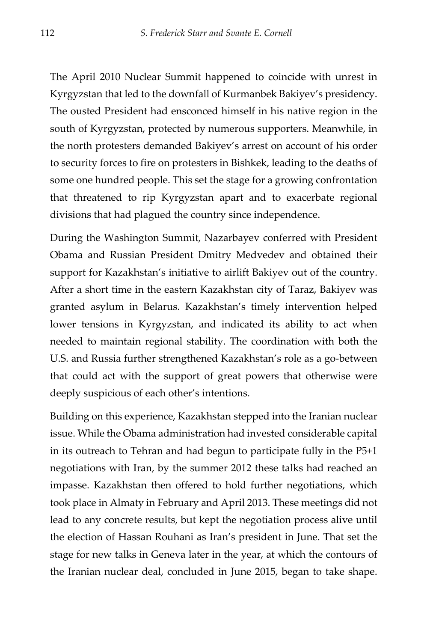The April 2010 Nuclear Summit happened to coincide with unrest in Kyrgyzstan that led to the downfall of Kurmanbek Bakiyev's presidency. The ousted President had ensconced himself in his native region in the south of Kyrgyzstan, protected by numerous supporters. Meanwhile, in the north protesters demanded Bakiyev's arrest on account of his order to security forces to fire on protesters in Bishkek, leading to the deaths of some one hundred people. This set the stage for a growing confrontation that threatened to rip Kyrgyzstan apart and to exacerbate regional divisions that had plagued the country since independence.

During the Washington Summit, Nazarbayev conferred with President Obama and Russian President Dmitry Medvedev and obtained their support for Kazakhstan's initiative to airlift Bakiyev out of the country. After a short time in the eastern Kazakhstan city of Taraz, Bakiyev was granted asylum in Belarus. Kazakhstan's timely intervention helped lower tensions in Kyrgyzstan, and indicated its ability to act when needed to maintain regional stability. The coordination with both the U.S. and Russia further strengthened Kazakhstan's role as a go-between that could act with the support of great powers that otherwise were deeply suspicious of each other's intentions.

Building on this experience, Kazakhstan stepped into the Iranian nuclear issue. While the Obama administration had invested considerable capital in its outreach to Tehran and had begun to participate fully in the P5+1 negotiations with Iran, by the summer 2012 these talks had reached an impasse. Kazakhstan then offered to hold further negotiations, which took place in Almaty in February and April 2013. These meetings did not lead to any concrete results, but kept the negotiation process alive until the election of Hassan Rouhani as Iran's president in June. That set the stage for new talks in Geneva later in the year, at which the contours of the Iranian nuclear deal, concluded in June 2015, began to take shape.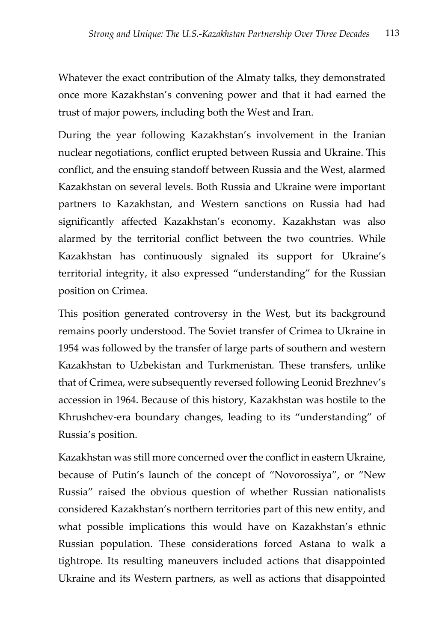Whatever the exact contribution of the Almaty talks, they demonstrated once more Kazakhstan's convening power and that it had earned the trust of major powers, including both the West and Iran.

During the year following Kazakhstan's involvement in the Iranian nuclear negotiations, conflict erupted between Russia and Ukraine. This conflict, and the ensuing standoff between Russia and the West, alarmed Kazakhstan on several levels. Both Russia and Ukraine were important partners to Kazakhstan, and Western sanctions on Russia had had significantly affected Kazakhstan's economy. Kazakhstan was also alarmed by the territorial conflict between the two countries. While Kazakhstan has continuously signaled its support for Ukraine's territorial integrity, it also expressed "understanding" for the Russian position on Crimea.

This position generated controversy in the West, but its background remains poorly understood. The Soviet transfer of Crimea to Ukraine in 1954 was followed by the transfer of large parts of southern and western Kazakhstan to Uzbekistan and Turkmenistan. These transfers, unlike that of Crimea, were subsequently reversed following Leonid Brezhnev's accession in 1964. Because of this history, Kazakhstan was hostile to the Khrushchev-era boundary changes, leading to its "understanding" of Russia's position.

Kazakhstan was still more concerned over the conflict in eastern Ukraine, because of Putin's launch of the concept of "Novorossiya", or "New Russia" raised the obvious question of whether Russian nationalists considered Kazakhstan's northern territories part of this new entity, and what possible implications this would have on Kazakhstan's ethnic Russian population. These considerations forced Astana to walk a tightrope. Its resulting maneuvers included actions that disappointed Ukraine and its Western partners, as well as actions that disappointed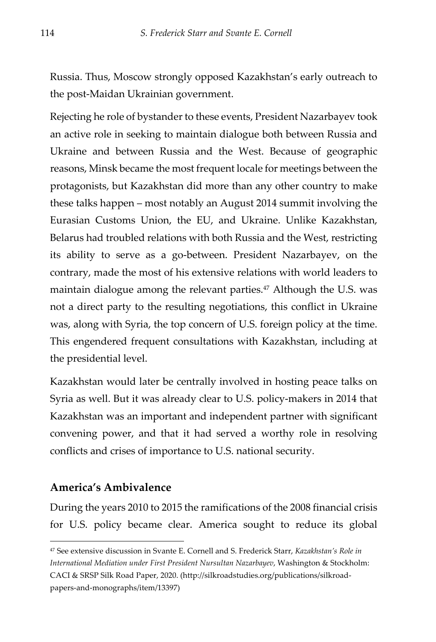Russia. Thus, Moscow strongly opposed Kazakhstan's early outreach to the post-Maidan Ukrainian government.

Rejecting he role of bystander to these events, President Nazarbayev took an active role in seeking to maintain dialogue both between Russia and Ukraine and between Russia and the West. Because of geographic reasons, Minsk became the most frequent locale for meetings between the protagonists, but Kazakhstan did more than any other country to make these talks happen – most notably an August 2014 summit involving the Eurasian Customs Union, the EU, and Ukraine. Unlike Kazakhstan, Belarus had troubled relations with both Russia and the West, restricting its ability to serve as a go-between. President Nazarbayev, on the contrary, made the most of his extensive relations with world leaders to maintain dialogue among the relevant parties.<sup>47</sup> Although the U.S. was not a direct party to the resulting negotiations, this conflict in Ukraine was, along with Syria, the top concern of U.S. foreign policy at the time. This engendered frequent consultations with Kazakhstan, including at the presidential level.

Kazakhstan would later be centrally involved in hosting peace talks on Syria as well. But it was already clear to U.S. policy-makers in 2014 that Kazakhstan was an important and independent partner with significant convening power, and that it had served a worthy role in resolving conflicts and crises of importance to U.S. national security.

### **America's Ambivalence**

During the years 2010 to 2015 the ramifications of the 2008 financial crisis for U.S. policy became clear. America sought to reduce its global

<sup>47</sup> See extensive discussion in Svante E. Cornell and S. Frederick Starr, *Kazakhstan's Role in International Mediation under First President Nursultan Nazarbayev*, Washington & Stockholm: CACI & SRSP Silk Road Paper, 2020. (http://silkroadstudies.org/publications/silkroadpapers-and-monographs/item/13397)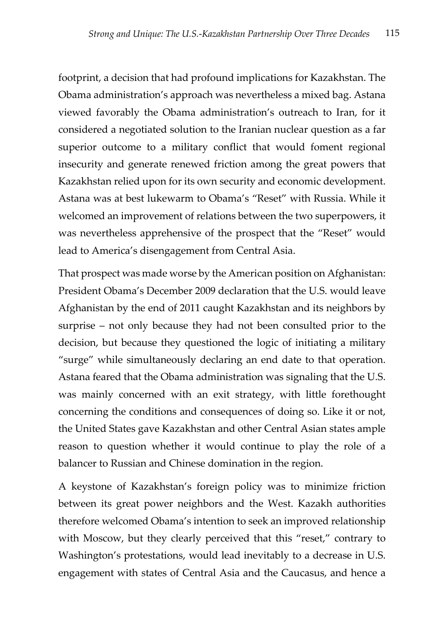footprint, a decision that had profound implications for Kazakhstan. The Obama administration's approach was nevertheless a mixed bag. Astana viewed favorably the Obama administration's outreach to Iran, for it considered a negotiated solution to the Iranian nuclear question as a far superior outcome to a military conflict that would foment regional insecurity and generate renewed friction among the great powers that Kazakhstan relied upon for its own security and economic development. Astana was at best lukewarm to Obama's "Reset" with Russia. While it welcomed an improvement of relations between the two superpowers, it was nevertheless apprehensive of the prospect that the "Reset" would lead to America's disengagement from Central Asia.

That prospect was made worse by the American position on Afghanistan: President Obama's December 2009 declaration that the U.S. would leave Afghanistan by the end of 2011 caught Kazakhstan and its neighbors by surprise – not only because they had not been consulted prior to the decision, but because they questioned the logic of initiating a military "surge" while simultaneously declaring an end date to that operation. Astana feared that the Obama administration was signaling that the U.S. was mainly concerned with an exit strategy, with little forethought concerning the conditions and consequences of doing so. Like it or not, the United States gave Kazakhstan and other Central Asian states ample reason to question whether it would continue to play the role of a balancer to Russian and Chinese domination in the region.

A keystone of Kazakhstan's foreign policy was to minimize friction between its great power neighbors and the West. Kazakh authorities therefore welcomed Obama's intention to seek an improved relationship with Moscow, but they clearly perceived that this "reset," contrary to Washington's protestations, would lead inevitably to a decrease in U.S. engagement with states of Central Asia and the Caucasus, and hence a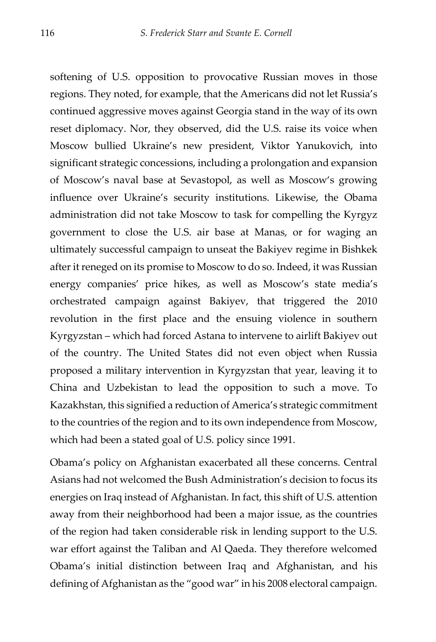softening of U.S. opposition to provocative Russian moves in those regions. They noted, for example, that the Americans did not let Russia's continued aggressive moves against Georgia stand in the way of its own reset diplomacy. Nor, they observed, did the U.S. raise its voice when Moscow bullied Ukraine's new president, Viktor Yanukovich, into significant strategic concessions, including a prolongation and expansion of Moscow's naval base at Sevastopol, as well as Moscow's growing influence over Ukraine's security institutions. Likewise, the Obama administration did not take Moscow to task for compelling the Kyrgyz government to close the U.S. air base at Manas, or for waging an ultimately successful campaign to unseat the Bakiyev regime in Bishkek after it reneged on its promise to Moscow to do so. Indeed, it was Russian energy companies' price hikes, as well as Moscow's state media's orchestrated campaign against Bakiyev, that triggered the 2010 revolution in the first place and the ensuing violence in southern Kyrgyzstan – which had forced Astana to intervene to airlift Bakiyev out of the country. The United States did not even object when Russia proposed a military intervention in Kyrgyzstan that year, leaving it to China and Uzbekistan to lead the opposition to such a move. To Kazakhstan, this signified a reduction of America's strategic commitment to the countries of the region and to its own independence from Moscow, which had been a stated goal of U.S. policy since 1991.

Obama's policy on Afghanistan exacerbated all these concerns. Central Asians had not welcomed the Bush Administration's decision to focus its energies on Iraq instead of Afghanistan. In fact, this shift of U.S. attention away from their neighborhood had been a major issue, as the countries of the region had taken considerable risk in lending support to the U.S. war effort against the Taliban and Al Qaeda. They therefore welcomed Obama's initial distinction between Iraq and Afghanistan, and his defining of Afghanistan as the "good war" in his 2008 electoral campaign.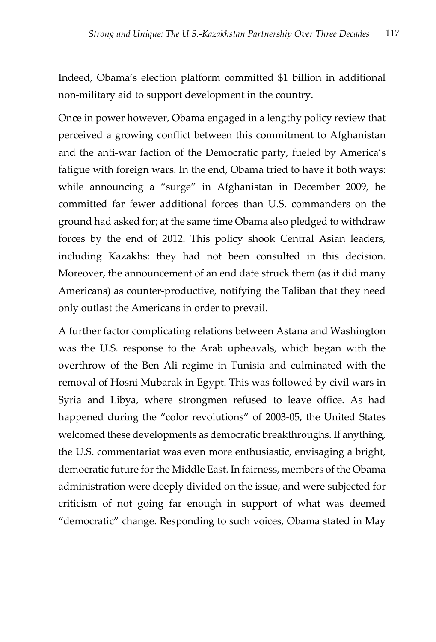Indeed, Obama's election platform committed \$1 billion in additional non-military aid to support development in the country.

Once in power however, Obama engaged in a lengthy policy review that perceived a growing conflict between this commitment to Afghanistan and the anti-war faction of the Democratic party, fueled by America's fatigue with foreign wars. In the end, Obama tried to have it both ways: while announcing a "surge" in Afghanistan in December 2009, he committed far fewer additional forces than U.S. commanders on the ground had asked for; at the same time Obama also pledged to withdraw forces by the end of 2012. This policy shook Central Asian leaders, including Kazakhs: they had not been consulted in this decision. Moreover, the announcement of an end date struck them (as it did many Americans) as counter-productive, notifying the Taliban that they need only outlast the Americans in order to prevail.

A further factor complicating relations between Astana and Washington was the U.S. response to the Arab upheavals, which began with the overthrow of the Ben Ali regime in Tunisia and culminated with the removal of Hosni Mubarak in Egypt. This was followed by civil wars in Syria and Libya, where strongmen refused to leave office. As had happened during the "color revolutions" of 2003-05, the United States welcomed these developments as democratic breakthroughs. If anything, the U.S. commentariat was even more enthusiastic, envisaging a bright, democratic future for the Middle East. In fairness, members of the Obama administration were deeply divided on the issue, and were subjected for criticism of not going far enough in support of what was deemed "democratic" change. Responding to such voices, Obama stated in May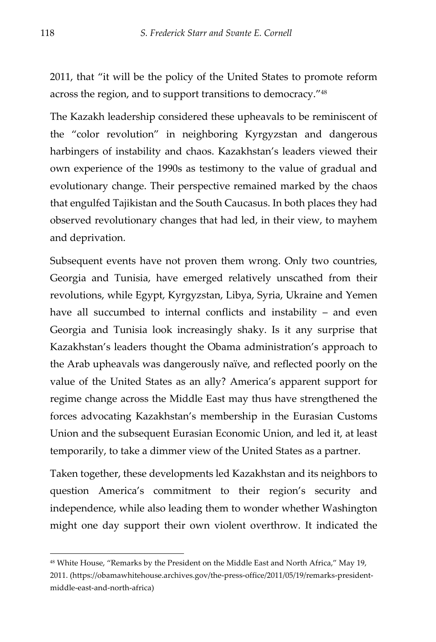2011, that "it will be the policy of the United States to promote reform across the region, and to support transitions to democracy."48

The Kazakh leadership considered these upheavals to be reminiscent of the "color revolution" in neighboring Kyrgyzstan and dangerous harbingers of instability and chaos. Kazakhstan's leaders viewed their own experience of the 1990s as testimony to the value of gradual and evolutionary change. Their perspective remained marked by the chaos that engulfed Tajikistan and the South Caucasus. In both places they had observed revolutionary changes that had led, in their view, to mayhem and deprivation.

Subsequent events have not proven them wrong. Only two countries, Georgia and Tunisia, have emerged relatively unscathed from their revolutions, while Egypt, Kyrgyzstan, Libya, Syria, Ukraine and Yemen have all succumbed to internal conflicts and instability – and even Georgia and Tunisia look increasingly shaky. Is it any surprise that Kazakhstan's leaders thought the Obama administration's approach to the Arab upheavals was dangerously naïve, and reflected poorly on the value of the United States as an ally? America's apparent support for regime change across the Middle East may thus have strengthened the forces advocating Kazakhstan's membership in the Eurasian Customs Union and the subsequent Eurasian Economic Union, and led it, at least temporarily, to take a dimmer view of the United States as a partner.

Taken together, these developments led Kazakhstan and its neighbors to question America's commitment to their region's security and independence, while also leading them to wonder whether Washington might one day support their own violent overthrow. It indicated the

<sup>48</sup> White House, "Remarks by the President on the Middle East and North Africa," May 19, 2011. (https://obamawhitehouse.archives.gov/the-press-office/2011/05/19/remarks-presidentmiddle-east-and-north-africa)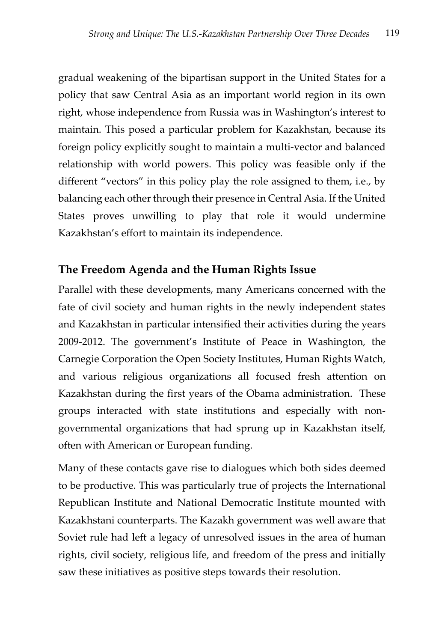gradual weakening of the bipartisan support in the United States for a policy that saw Central Asia as an important world region in its own right, whose independence from Russia was in Washington's interest to maintain. This posed a particular problem for Kazakhstan, because its foreign policy explicitly sought to maintain a multi-vector and balanced relationship with world powers. This policy was feasible only if the different "vectors" in this policy play the role assigned to them, i.e., by balancing each other through their presence in Central Asia. If the United States proves unwilling to play that role it would undermine Kazakhstan's effort to maintain its independence.

# **The Freedom Agenda and the Human Rights Issue**

Parallel with these developments, many Americans concerned with the fate of civil society and human rights in the newly independent states and Kazakhstan in particular intensified their activities during the years 2009-2012. The government's Institute of Peace in Washington, the Carnegie Corporation the Open Society Institutes, Human Rights Watch, and various religious organizations all focused fresh attention on Kazakhstan during the first years of the Obama administration. These groups interacted with state institutions and especially with nongovernmental organizations that had sprung up in Kazakhstan itself, often with American or European funding.

Many of these contacts gave rise to dialogues which both sides deemed to be productive. This was particularly true of projects the International Republican Institute and National Democratic Institute mounted with Kazakhstani counterparts. The Kazakh government was well aware that Soviet rule had left a legacy of unresolved issues in the area of human rights, civil society, religious life, and freedom of the press and initially saw these initiatives as positive steps towards their resolution.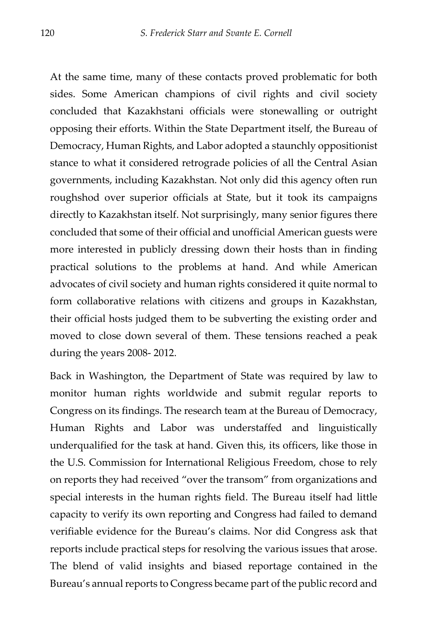At the same time, many of these contacts proved problematic for both sides. Some American champions of civil rights and civil society concluded that Kazakhstani officials were stonewalling or outright opposing their efforts. Within the State Department itself, the Bureau of Democracy, Human Rights, and Labor adopted a staunchly oppositionist stance to what it considered retrograde policies of all the Central Asian governments, including Kazakhstan. Not only did this agency often run roughshod over superior officials at State, but it took its campaigns directly to Kazakhstan itself. Not surprisingly, many senior figures there concluded that some of their official and unofficial American guests were more interested in publicly dressing down their hosts than in finding practical solutions to the problems at hand. And while American advocates of civil society and human rights considered it quite normal to form collaborative relations with citizens and groups in Kazakhstan, their official hosts judged them to be subverting the existing order and moved to close down several of them. These tensions reached a peak during the years 2008- 2012.

Back in Washington, the Department of State was required by law to monitor human rights worldwide and submit regular reports to Congress on its findings. The research team at the Bureau of Democracy, Human Rights and Labor was understaffed and linguistically underqualified for the task at hand. Given this, its officers, like those in the U.S. Commission for International Religious Freedom, chose to rely on reports they had received "over the transom" from organizations and special interests in the human rights field. The Bureau itself had little capacity to verify its own reporting and Congress had failed to demand verifiable evidence for the Bureau's claims. Nor did Congress ask that reports include practical steps for resolving the various issues that arose. The blend of valid insights and biased reportage contained in the Bureau's annual reports to Congress became part of the public record and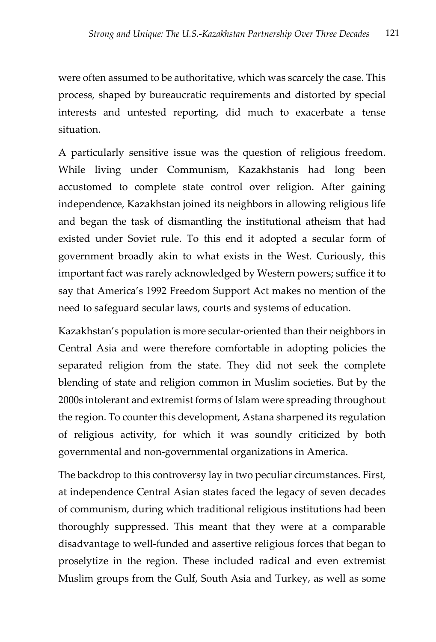were often assumed to be authoritative, which was scarcely the case. This process, shaped by bureaucratic requirements and distorted by special interests and untested reporting, did much to exacerbate a tense situation.

A particularly sensitive issue was the question of religious freedom. While living under Communism, Kazakhstanis had long been accustomed to complete state control over religion. After gaining independence, Kazakhstan joined its neighbors in allowing religious life and began the task of dismantling the institutional atheism that had existed under Soviet rule. To this end it adopted a secular form of government broadly akin to what exists in the West. Curiously, this important fact was rarely acknowledged by Western powers; suffice it to say that America's 1992 Freedom Support Act makes no mention of the need to safeguard secular laws, courts and systems of education.

Kazakhstan's population is more secular-oriented than their neighbors in Central Asia and were therefore comfortable in adopting policies the separated religion from the state. They did not seek the complete blending of state and religion common in Muslim societies. But by the 2000s intolerant and extremist forms of Islam were spreading throughout the region. To counter this development, Astana sharpened its regulation of religious activity, for which it was soundly criticized by both governmental and non-governmental organizations in America.

The backdrop to this controversy lay in two peculiar circumstances. First, at independence Central Asian states faced the legacy of seven decades of communism, during which traditional religious institutions had been thoroughly suppressed. This meant that they were at a comparable disadvantage to well-funded and assertive religious forces that began to proselytize in the region. These included radical and even extremist Muslim groups from the Gulf, South Asia and Turkey, as well as some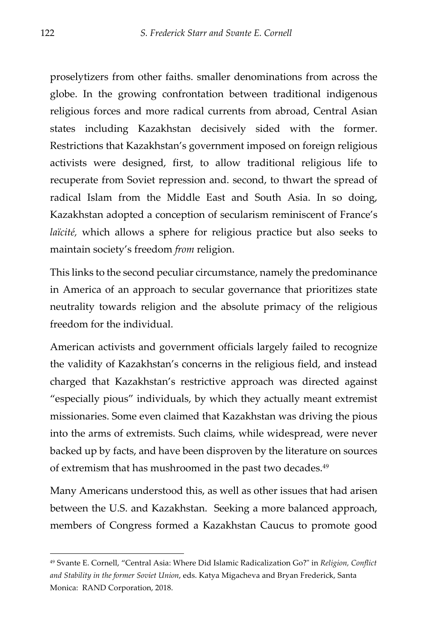proselytizers from other faiths. smaller denominations from across the globe. In the growing confrontation between traditional indigenous religious forces and more radical currents from abroad, Central Asian states including Kazakhstan decisively sided with the former. Restrictions that Kazakhstan's government imposed on foreign religious activists were designed, first, to allow traditional religious life to recuperate from Soviet repression and. second, to thwart the spread of radical Islam from the Middle East and South Asia. In so doing, Kazakhstan adopted a conception of secularism reminiscent of France's *laïcité,* which allows a sphere for religious practice but also seeks to maintain society's freedom *from* religion.

This links to the second peculiar circumstance, namely the predominance in America of an approach to secular governance that prioritizes state neutrality towards religion and the absolute primacy of the religious freedom for the individual.

American activists and government officials largely failed to recognize the validity of Kazakhstan's concerns in the religious field, and instead charged that Kazakhstan's restrictive approach was directed against "especially pious" individuals, by which they actually meant extremist missionaries. Some even claimed that Kazakhstan was driving the pious into the arms of extremists. Such claims, while widespread, were never backed up by facts, and have been disproven by the literature on sources of extremism that has mushroomed in the past two decades.<sup>49</sup>

Many Americans understood this, as well as other issues that had arisen between the U.S. and Kazakhstan. Seeking a more balanced approach, members of Congress formed a Kazakhstan Caucus to promote good

<sup>49</sup> Svante E. Cornell, "Central Asia: Where Did Islamic Radicalization Go?" in *Religion, Conflict and Stability in the former Soviet Union*, eds. Katya Migacheva and Bryan Frederick, Santa Monica: RAND Corporation, 2018.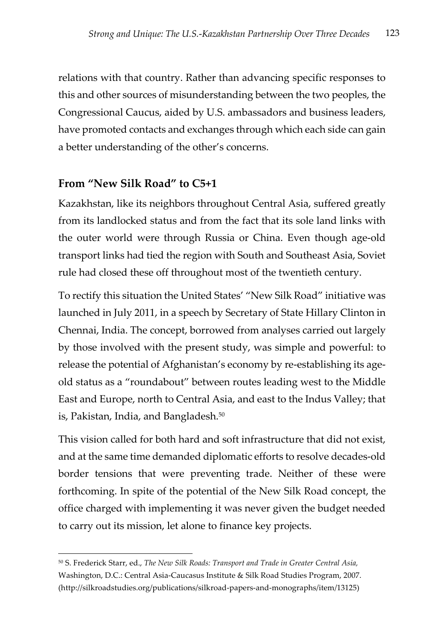relations with that country. Rather than advancing specific responses to this and other sources of misunderstanding between the two peoples, the Congressional Caucus, aided by U.S. ambassadors and business leaders, have promoted contacts and exchanges through which each side can gain a better understanding of the other's concerns.

# **From "New Silk Road" to C5+1**

Kazakhstan, like its neighbors throughout Central Asia, suffered greatly from its landlocked status and from the fact that its sole land links with the outer world were through Russia or China. Even though age-old transport links had tied the region with South and Southeast Asia, Soviet rule had closed these off throughout most of the twentieth century.

To rectify this situation the United States' "New Silk Road" initiative was launched in July 2011, in a speech by Secretary of State Hillary Clinton in Chennai, India. The concept, borrowed from analyses carried out largely by those involved with the present study, was simple and powerful: to release the potential of Afghanistan's economy by re-establishing its ageold status as a "roundabout" between routes leading west to the Middle East and Europe, north to Central Asia, and east to the Indus Valley; that is, Pakistan, India, and Bangladesh.50

This vision called for both hard and soft infrastructure that did not exist, and at the same time demanded diplomatic efforts to resolve decades-old border tensions that were preventing trade. Neither of these were forthcoming. In spite of the potential of the New Silk Road concept, the office charged with implementing it was never given the budget needed to carry out its mission, let alone to finance key projects.

<sup>50</sup> S. Frederick Starr, ed., *The New Silk Roads: Transport and Trade in Greater Central Asia,* Washington, D.C.: Central Asia-Caucasus Institute & Silk Road Studies Program, 2007. (http://silkroadstudies.org/publications/silkroad-papers-and-monographs/item/13125)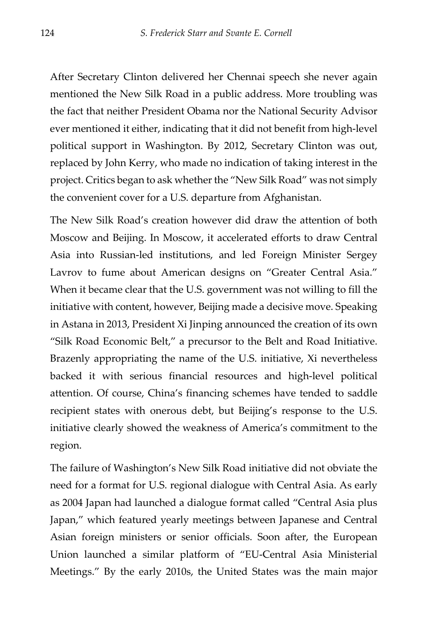After Secretary Clinton delivered her Chennai speech she never again mentioned the New Silk Road in a public address. More troubling was the fact that neither President Obama nor the National Security Advisor ever mentioned it either, indicating that it did not benefit from high-level political support in Washington. By 2012, Secretary Clinton was out, replaced by John Kerry, who made no indication of taking interest in the project. Critics began to ask whether the "New Silk Road" was not simply the convenient cover for a U.S. departure from Afghanistan.

The New Silk Road's creation however did draw the attention of both Moscow and Beijing. In Moscow, it accelerated efforts to draw Central Asia into Russian-led institutions, and led Foreign Minister Sergey Lavrov to fume about American designs on "Greater Central Asia." When it became clear that the U.S. government was not willing to fill the initiative with content, however, Beijing made a decisive move. Speaking in Astana in 2013, President Xi Jinping announced the creation of its own "Silk Road Economic Belt," a precursor to the Belt and Road Initiative. Brazenly appropriating the name of the U.S. initiative, Xi nevertheless backed it with serious financial resources and high-level political attention. Of course, China's financing schemes have tended to saddle recipient states with onerous debt, but Beijing's response to the U.S. initiative clearly showed the weakness of America's commitment to the region.

The failure of Washington's New Silk Road initiative did not obviate the need for a format for U.S. regional dialogue with Central Asia. As early as 2004 Japan had launched a dialogue format called "Central Asia plus Japan," which featured yearly meetings between Japanese and Central Asian foreign ministers or senior officials. Soon after, the European Union launched a similar platform of "EU-Central Asia Ministerial Meetings." By the early 2010s, the United States was the main major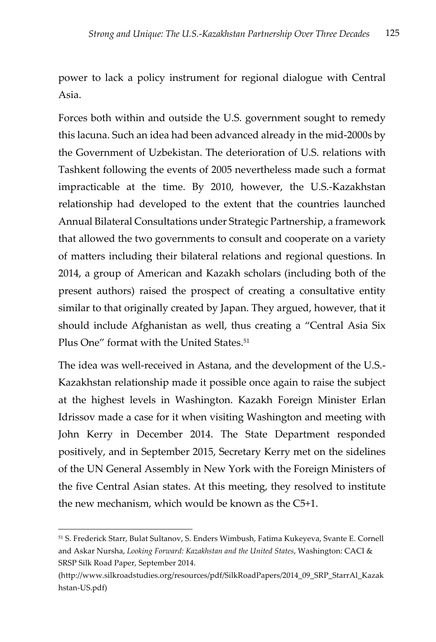power to lack a policy instrument for regional dialogue with Central Asia.

Forces both within and outside the U.S. government sought to remedy this lacuna. Such an idea had been advanced already in the mid-2000s by the Government of Uzbekistan. The deterioration of U.S. relations with Tashkent following the events of 2005 nevertheless made such a format impracticable at the time. By 2010, however, the U.S.-Kazakhstan relationship had developed to the extent that the countries launched Annual Bilateral Consultations under Strategic Partnership, a framework that allowed the two governments to consult and cooperate on a variety of matters including their bilateral relations and regional questions. In 2014, a group of American and Kazakh scholars (including both of the present authors) raised the prospect of creating a consultative entity similar to that originally created by Japan. They argued, however, that it should include Afghanistan as well, thus creating a "Central Asia Six Plus One" format with the United States.<sup>51</sup>

The idea was well-received in Astana, and the development of the U.S.- Kazakhstan relationship made it possible once again to raise the subject at the highest levels in Washington. Kazakh Foreign Minister Erlan Idrissov made a case for it when visiting Washington and meeting with John Kerry in December 2014. The State Department responded positively, and in September 2015, Secretary Kerry met on the sidelines of the UN General Assembly in New York with the Foreign Ministers of the five Central Asian states. At this meeting, they resolved to institute the new mechanism, which would be known as the C5+1.

<sup>51</sup> S. Frederick Starr, Bulat Sultanov, S. Enders Wimbush, Fatima Kukeyeva, Svante E. Cornell and Askar Nursha, *Looking Forward: Kazakhstan and the United States*, Washington: CACI & SRSP Silk Road Paper, September 2014.

<sup>(</sup>http://www.silkroadstudies.org/resources/pdf/SilkRoadPapers/2014\_09\_SRP\_StarrAl\_Kazak hstan-US.pdf)